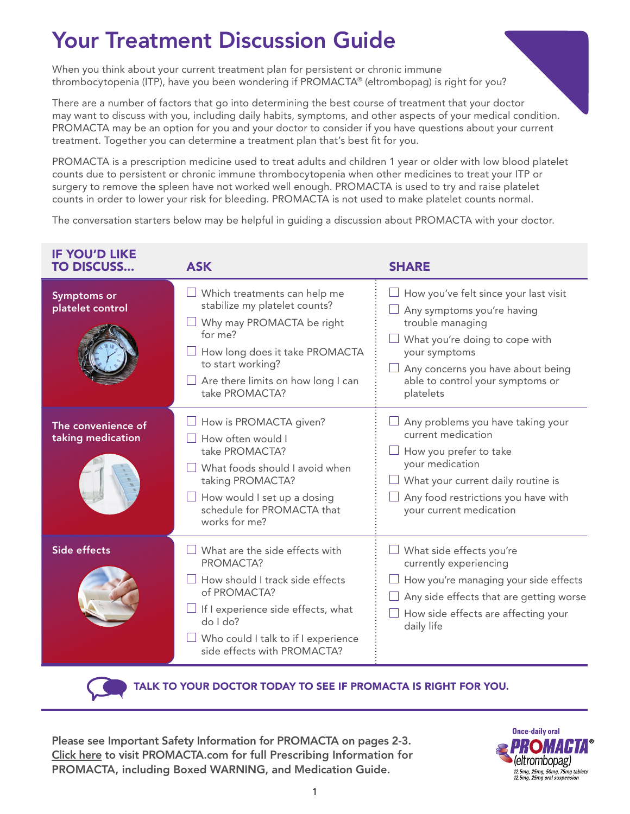# Your Treatment Discussion Guide

When you think about your current treatment plan for persistent or chronic immune thrombocytopenia (ITP), have you been wondering if PROMACTA® (eltrombopag) is right for you?

There are a number of factors that go into determining the best course of treatment that your doctor may want to discuss with you, including daily habits, symptoms, and other aspects of your medical condition. PROMACTA may be an option for you and your doctor to consider if you have questions about your current treatment. Together you can determine a treatment plan that's best fit for you.

PROMACTA is a prescription medicine used to treat adults and children 1 year or older with low blood platelet counts due to persistent or chronic immune thrombocytopenia when other medicines to treat your ITP or surgery to remove the spleen have not worked well enough. PROMACTA is used to try and raise platelet counts in order to lower your risk for bleeding. PROMACTA is not used to make platelet counts normal.

The conversation starters below may be helpful in guiding a discussion about PROMACTA with your doctor.

| <b>IF YOU'D LIKE</b><br><b>TO DISCUSS</b> | <b>ASK</b>                                                                                                                                                                                                                               | <b>SHARE</b>                                                                                                                                                                                                                     |
|-------------------------------------------|------------------------------------------------------------------------------------------------------------------------------------------------------------------------------------------------------------------------------------------|----------------------------------------------------------------------------------------------------------------------------------------------------------------------------------------------------------------------------------|
| <b>Symptoms or</b><br>platelet control    | $\Box$ Which treatments can help me<br>stabilize my platelet counts?<br>Why may PROMACTA be right<br>for me?<br>How long does it take PROMACTA<br>to start working?<br>Are there limits on how long I can<br>take PROMACTA?              | How you've felt since your last visit<br>Any symptoms you're having<br>trouble managing<br>What you're doing to cope with<br>your symptoms<br>Any concerns you have about being<br>able to control your symptoms or<br>platelets |
| The convenience of<br>taking medication   | How is PROMACTA given?<br>How often would I<br>take PROMACTA?<br>$\Box$ What foods should I avoid when<br>taking PROMACTA?<br>$\Box$ How would I set up a dosing<br>schedule for PROMACTA that<br>works for me?                          | Any problems you have taking your<br>current medication<br>How you prefer to take<br>your medication<br>What your current daily routine is<br>Any food restrictions you have with<br>your current medication                     |
| Side effects                              | What are the side effects with<br>PROMACTA?<br>$\Box$ How should I track side effects<br>of PROMACTA?<br>$\Box$ If I experience side effects, what<br>$do$ $1 do?$<br>Who could I talk to if I experience<br>side effects with PROMACTA? | What side effects you're<br>currently experiencing<br>How you're managing your side effects<br>Any side effects that are getting worse<br>How side effects are affecting your<br>daily life                                      |



TALK TO YOUR DOCTOR TODAY TO SEE IF PROMACTA IS RIGHT FOR YOU.

Please see Important Safety Information for PROMACTA on pages 2-3. [Click here t](https://www.novartis.us/sites/www.novartis.us/files/promacta.pdf)o visit PROMACTA.com for [full Prescribing Information for](https://www.novartis.us/sites/www.novartis.us/files/promacta.pdf) [PROMACTA, including Boxed WARNING, and Medication Guide.](https://www.novartis.us/sites/www.novartis.us/files/promacta.pdf)

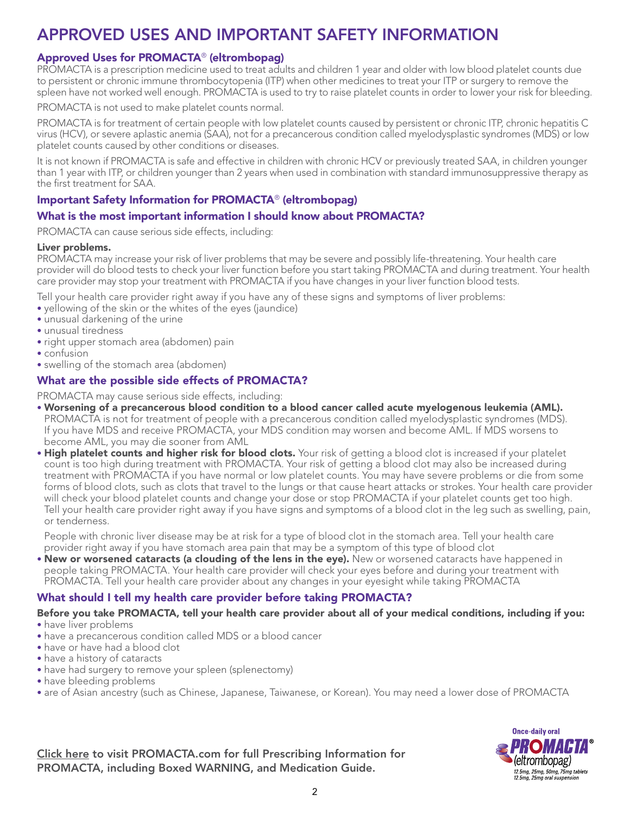# APPROVED USES AND IMPORTANT SAFETY INFORMATION

### Approved Uses for PROMACTA® (eltrombopag)

PROMACTA is a prescription medicine used to treat adults and children 1 year and older with low blood platelet counts due to persistent or chronic immune thrombocytopenia (ITP) when other medicines to treat your ITP or surgery to remove the spleen have not worked well enough. PROMACTA is used to try to raise platelet counts in order to lower your risk for bleeding.

PROMACTA is not used to make platelet counts normal.

PROMACTA is for treatment of certain people with low platelet counts caused by persistent or chronic ITP, chronic hepatitis C virus (HCV), or severe aplastic anemia (SAA), not for a precancerous condition called myelodysplastic syndromes (MDS) or low platelet counts caused by other conditions or diseases.

It is not known if PROMACTA is safe and effective in children with chronic HCV or previously treated SAA, in children younger than 1 year with ITP, or children younger than 2 years when used in combination with standard immunosuppressive therapy as the first treatment for SAA.

# Important Safety Information for PROMACTA® (eltrombopag)

#### What is the most important information I should know about PROMACTA?

PROMACTA can cause serious side effects, including:

#### Liver problems.

PROMACTA may increase your risk of liver problems that may be severe and possibly life-threatening. Your health care provider will do blood tests to check your liver function before you start taking PROMACTA and during treatment. Your health care provider may stop your treatment with PROMACTA if you have changes in your liver function blood tests.

Tell your health care provider right away if you have any of these signs and symptoms of liver problems:

- yellowing of the skin or the whites of the eyes (jaundice)
- unusual darkening of the urine
- unusual tiredness
- right upper stomach area (abdomen) pain
- confusion
- swelling of the stomach area (abdomen)

## What are the possible side effects of PROMACTA?

PROMACTA may cause serious side effects, including:

- Worsening of a precancerous blood condition to a blood cancer called acute myelogenous leukemia (AML). PROMACTA is not for treatment of people with a precancerous condition called myelodysplastic syndromes (MDS). If you have MDS and receive PROMACTA, your MDS condition may worsen and become AML. If MDS worsens to become AML, you may die sooner from AML
- High platelet counts and higher risk for blood clots. Your risk of getting a blood clot is increased if your platelet count is too high during treatment with PROMACTA. Your risk of getting a blood clot may also be increased during treatment with PROMACTA if you have normal or low platelet counts. You may have severe problems or die from some forms of blood clots, such as clots that travel to the lungs or that cause heart attacks or strokes. Your health care provider will check your blood platelet counts and change your dose or stop PROMACTA if your platelet counts get too high. Tell your health care provider right away if you have signs and symptoms of a blood clot in the leg such as swelling, pain, or tenderness.

 People with chronic liver disease may be at risk for a type of blood clot in the stomach area. Tell your health care provider right away if you have stomach area pain that may be a symptom of this type of blood clot

• New or worsened cataracts (a clouding of the lens in the eye). New or worsened cataracts have happened in people taking PROMACTA. Your health care provider will check your eyes before and during your treatment with PROMACTA. Tell your health care provider about any changes in your eyesight while taking PROMACTA

# What should I tell my health care provider before taking PROMACTA?

#### Before you take PROMACTA, tell your health care provider about all of your medical conditions, including if you:

- have liver problems
- have a precancerous condition called MDS or a blood cancer
- have or have had a blood clot
- have a history of cataracts
- have had surgery to remove your spleen (splenectomy)
- have bleeding problems
- are of Asian ancestry (such as Chinese, Japanese, Taiwanese, or Korean). You may need a lower dose of PROMACTA

[Click here t](https://www.novartis.us/sites/www.novartis.us/files/promacta.pdf)o visit PROMACTA.com [for full Prescribing Information for](https://www.novartis.us/sites/www.novartis.us/files/promacta.pdf)  [PROMACTA, including Boxed WARNING, and Medication Guide.](https://www.novartis.us/sites/www.novartis.us/files/promacta.pdf)